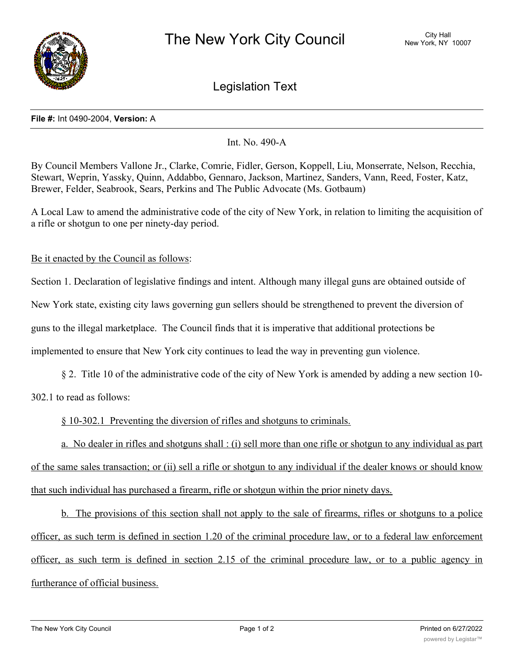

Legislation Text

## **File #:** Int 0490-2004, **Version:** A

Int. No. 490-A

By Council Members Vallone Jr., Clarke, Comrie, Fidler, Gerson, Koppell, Liu, Monserrate, Nelson, Recchia, Stewart, Weprin, Yassky, Quinn, Addabbo, Gennaro, Jackson, Martinez, Sanders, Vann, Reed, Foster, Katz, Brewer, Felder, Seabrook, Sears, Perkins and The Public Advocate (Ms. Gotbaum)

A Local Law to amend the administrative code of the city of New York, in relation to limiting the acquisition of a rifle or shotgun to one per ninety-day period.

Be it enacted by the Council as follows:

Section 1. Declaration of legislative findings and intent. Although many illegal guns are obtained outside of

New York state, existing city laws governing gun sellers should be strengthened to prevent the diversion of

guns to the illegal marketplace. The Council finds that it is imperative that additional protections be

implemented to ensure that New York city continues to lead the way in preventing gun violence.

§ 2. Title 10 of the administrative code of the city of New York is amended by adding a new section 10- 302.1 to read as follows:

§ 10-302.1 Preventing the diversion of rifles and shotguns to criminals.

a. No dealer in rifles and shotguns shall : (i) sell more than one rifle or shotgun to any individual as part of the same sales transaction; or (ii) sell a rifle or shotgun to any individual if the dealer knows or should know that such individual has purchased a firearm, rifle or shotgun within the prior ninety days.

b. The provisions of this section shall not apply to the sale of firearms, rifles or shotguns to a police officer, as such term is defined in section 1.20 of the criminal procedure law, or to a federal law enforcement officer, as such term is defined in section 2.15 of the criminal procedure law, or to a public agency in furtherance of official business.